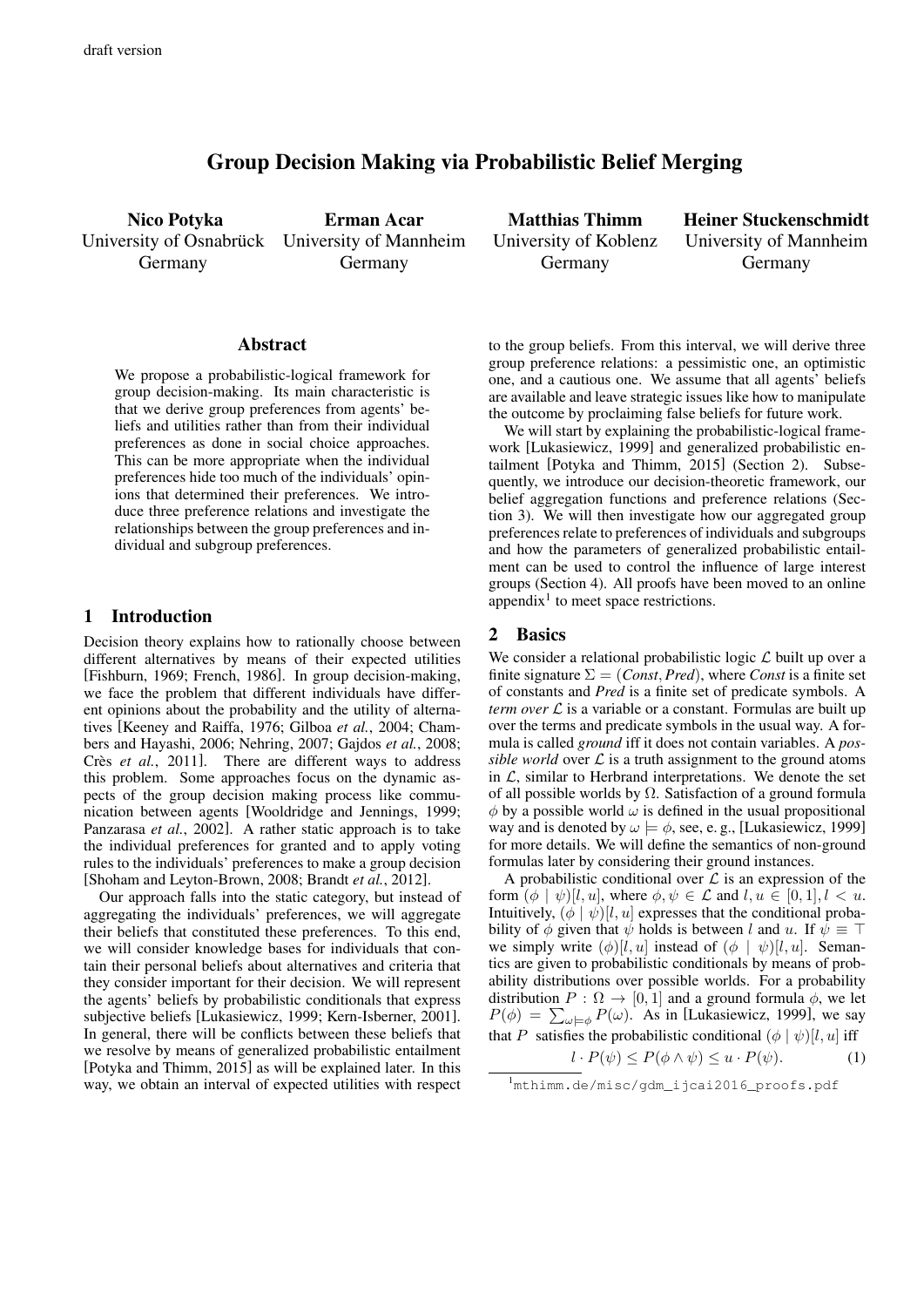# Group Decision Making via Probabilistic Belief Merging

Nico Potyka University of Osnabrück University of Mannheim Germany

Erman Acar Germany

Matthias Thimm University of Koblenz Germany

Heiner Stuckenschmidt University of Mannheim Germany

#### Abstract

We propose a probabilistic-logical framework for group decision-making. Its main characteristic is that we derive group preferences from agents' beliefs and utilities rather than from their individual preferences as done in social choice approaches. This can be more appropriate when the individual preferences hide too much of the individuals' opinions that determined their preferences. We introduce three preference relations and investigate the relationships between the group preferences and individual and subgroup preferences.

#### 1 Introduction

Decision theory explains how to rationally choose between different alternatives by means of their expected utilities [Fishburn, 1969; French, 1986]. In group decision-making, we face the problem that different individuals have different opinions about the probability and the utility of alternatives [Keeney and Raiffa, 1976; Gilboa *et al.*, 2004; Chambers and Hayashi, 2006; Nehring, 2007; Gajdos *et al.*, 2008; Crès *et al.*, 2011]. There are different ways to address this problem. Some approaches focus on the dynamic aspects of the group decision making process like communication between agents [Wooldridge and Jennings, 1999; Panzarasa *et al.*, 2002]. A rather static approach is to take the individual preferences for granted and to apply voting rules to the individuals' preferences to make a group decision [Shoham and Leyton-Brown, 2008; Brandt *et al.*, 2012].

Our approach falls into the static category, but instead of aggregating the individuals' preferences, we will aggregate their beliefs that constituted these preferences. To this end, we will consider knowledge bases for individuals that contain their personal beliefs about alternatives and criteria that they consider important for their decision. We will represent the agents' beliefs by probabilistic conditionals that express subjective beliefs [Lukasiewicz, 1999; Kern-Isberner, 2001]. In general, there will be conflicts between these beliefs that we resolve by means of generalized probabilistic entailment [Potyka and Thimm, 2015] as will be explained later. In this way, we obtain an interval of expected utilities with respect

to the group beliefs. From this interval, we will derive three group preference relations: a pessimistic one, an optimistic one, and a cautious one. We assume that all agents' beliefs are available and leave strategic issues like how to manipulate the outcome by proclaiming false beliefs for future work.

We will start by explaining the probabilistic-logical framework [Lukasiewicz, 1999] and generalized probabilistic entailment [Potyka and Thimm, 2015] (Section 2). Subsequently, we introduce our decision-theoretic framework, our belief aggregation functions and preference relations (Section 3). We will then investigate how our aggregated group preferences relate to preferences of individuals and subgroups and how the parameters of generalized probabilistic entailment can be used to control the influence of large interest groups (Section 4). All proofs have been moved to an online appendix<sup>1</sup> to meet space restrictions.

#### 2 Basics

We consider a relational probabilistic logic  $\mathcal L$  built up over a finite signature  $\Sigma = (Const, Pred)$ , where *Const* is a finite set of constants and *Pred* is a finite set of predicate symbols. A *term over*  $\mathcal L$  is a variable or a constant. Formulas are built up over the terms and predicate symbols in the usual way. A formula is called *ground* iff it does not contain variables. A *possible world* over  $\mathcal L$  is a truth assignment to the ground atoms in  $\mathcal{L}$ , similar to Herbrand interpretations. We denote the set of all possible worlds by  $\Omega$ . Satisfaction of a ground formula  $\phi$  by a possible world  $\omega$  is defined in the usual propositional way and is denoted by  $\omega \models \phi$ , see, e.g., [Lukasiewicz, 1999] for more details. We will define the semantics of non-ground formulas later by considering their ground instances.

A probabilistic conditional over  $\mathcal L$  is an expression of the form  $(\phi | \psi) [l, u]$ , where  $\phi, \psi \in \mathcal{L}$  and  $l, u \in [0, 1], l < u$ . Intuitively,  $(\phi | \psi) [l, u]$  expresses that the conditional probability of  $\phi$  given that  $\psi$  holds is between l and u. If  $\psi \equiv \top$ we simply write  $(\phi)[l, u]$  instead of  $(\phi | \psi)[l, u]$ . Semantics are given to probabilistic conditionals by means of probability distributions over possible worlds. For a probability distribution  $P : \Omega \to [0, 1]$  and a ground formula  $\phi$ , we let  $P(\phi) = \sum_{\omega \models \phi} P(\omega)$ . As in [Lukasiewicz, 1999], we say that P satisfies the probabilistic conditional  $(\phi | \psi)[l, u]$  iff  $l \cdot D(l) \le D(l+1) \le D(l)$ 

$$
l \cdot P(\psi) \le P(\phi \wedge \psi) \le u \cdot P(\psi). \tag{1}
$$

<sup>&</sup>lt;sup>1</sup>mthimm.de/misc/gdm\_ijcai2016\_proofs.pdf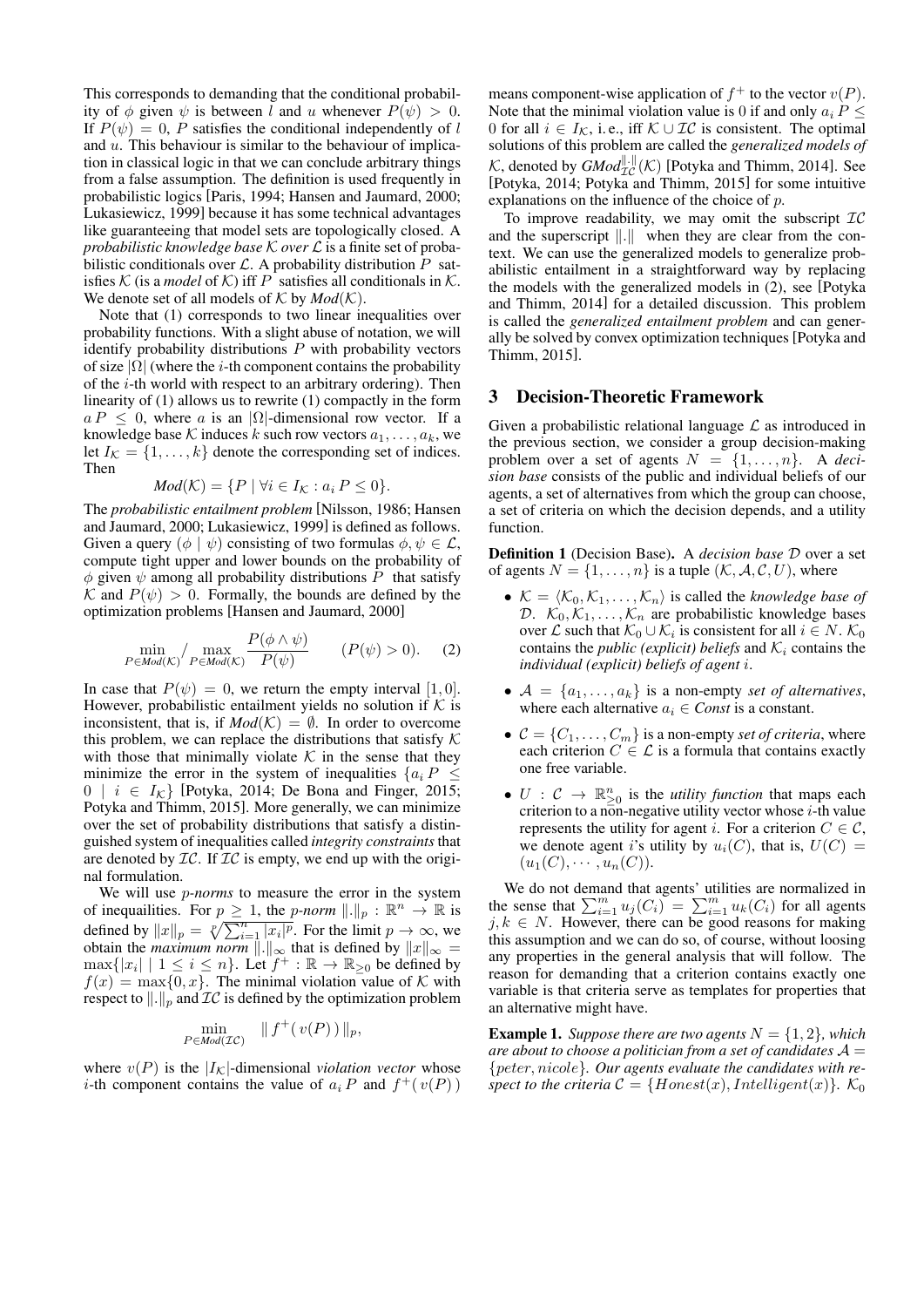This corresponds to demanding that the conditional probability of  $\phi$  given  $\psi$  is between l and u whenever  $P(\psi) > 0$ . If  $P(\psi) = 0$ , P satisfies the conditional independently of l and  $u$ . This behaviour is similar to the behaviour of implication in classical logic in that we can conclude arbitrary things from a false assumption. The definition is used frequently in probabilistic logics [Paris, 1994; Hansen and Jaumard, 2000; Lukasiewicz, 1999] because it has some technical advantages like guaranteeing that model sets are topologically closed. A *probabilistic knowledge base* K *over* L is a finite set of probabilistic conditionals over  $\mathcal{L}$ . A probability distribution  $P$  satisfies  $K$  (is a *model* of  $K$ ) iff P satisfies all conditionals in  $K$ . We denote set of all models of  $K$  by  $Mod(K)$ .

Note that (1) corresponds to two linear inequalities over probability functions. With a slight abuse of notation, we will identify probability distributions  $P$  with probability vectors of size  $|\Omega|$  (where the *i*-th component contains the probability of the  $i$ -th world with respect to an arbitrary ordering). Then linearity of (1) allows us to rewrite (1) compactly in the form  $a P \leq 0$ , where a is an |Ω|-dimensional row vector. If a knowledge base K induces k such row vectors  $a_1, \ldots, a_k$ , we let  $I_K = \{1, \ldots, k\}$  denote the corresponding set of indices. Then

$$
Mod(K) = \{ P \mid \forall i \in I_K : a_i P \le 0 \}.
$$

The *probabilistic entailment problem* [Nilsson, 1986; Hansen and Jaumard, 2000; Lukasiewicz, 1999] is defined as follows. Given a query  $(\phi | \psi)$  consisting of two formulas  $\phi, \psi \in \mathcal{L}$ , compute tight upper and lower bounds on the probability of  $\phi$  given  $\psi$  among all probability distributions P that satisfy K and  $P(\psi) > 0$ . Formally, the bounds are defined by the optimization problems [Hansen and Jaumard, 2000]

$$
\min_{P \in \text{Mod}(K)} / \max_{P \in \text{Mod}(K)} \frac{P(\phi \land \psi)}{P(\psi)} \qquad (P(\psi) > 0). \tag{2}
$$

In case that  $P(\psi) = 0$ , we return the empty interval [1, 0]. However, probabilistic entailment yields no solution if  $K$  is inconsistent, that is, if  $Mod(K) = \emptyset$ . In order to overcome this problem, we can replace the distributions that satisfy  $K$ with those that minimally violate  $K$  in the sense that they minimize the error in the system of inequalities  ${a_i P \leq \cdots}$  $0 \mid i \in I_{\mathcal{K}}$  [Potyka, 2014; De Bona and Finger, 2015; Potyka and Thimm, 2015]. More generally, we can minimize over the set of probability distributions that satisfy a distinguished system of inequalities called *integrity constraints* that are denoted by  $IC$ . If  $IC$  is empty, we end up with the original formulation.

We will use p*-norms* to measure the error in the system of inequalities. For  $p \geq 1$ , the *p-norm*  $\| \cdot \|_p : \mathbb{R}^n \to \mathbb{R}$  is defined by  $||x||_p = \sqrt[p]{\sum_{i=1}^n |x_i|^p}$ . For the limit  $p \to \infty$ , we obtain the *maximum norm*  $\Vert . \Vert_{\infty}$  that is defined by  $\Vert x \Vert_{\infty} =$  $\max\{|x_i| \mid 1 \leq i \leq n\}$ . Let  $f^+ : \mathbb{R} \to \mathbb{R}_{\geq 0}$  be defined by  $f(x) = \max\{0, x\}$ . The minimal violation value of K with respect to  $\Vert . \Vert_p$  and  $\mathcal{IC}$  is defined by the optimization problem

$$
\min_{P \in \text{Mod}(\mathcal{IC})} \quad || f^+(v(P)) ||_p,
$$

where  $v(P)$  is the  $|I_K|$ -dimensional *violation vector* whose *i*-th component contains the value of  $a_i P$  and  $f^+(v(P))$ 

means component-wise application of  $f^+$  to the vector  $v(P)$ . Note that the minimal violation value is 0 if and only  $a_i P \leq$ 0 for all  $i \in I_{\mathcal{K}}$ , i.e., iff  $\mathcal{K} \cup \mathcal{IC}$  is consistent. The optimal solutions of this problem are called the *generalized models of* K, denoted by  $GMod_{\mathcal{IC}}^{\|\cdot\|}(K)$  [Potyka and Thimm, 2014]. See [Potyka, 2014; Potyka and Thimm, 2015] for some intuitive explanations on the influence of the choice of p.

To improve readability, we may omit the subscript  $TC$ and the superscript  $\Vert . \Vert$  when they are clear from the context. We can use the generalized models to generalize probabilistic entailment in a straightforward way by replacing the models with the generalized models in (2), see [Potyka and Thimm, 2014] for a detailed discussion. This problem is called the *generalized entailment problem* and can generally be solved by convex optimization techniques [Potyka and Thimm, 2015].

#### 3 Decision-Theoretic Framework

Given a probabilistic relational language  $\mathcal L$  as introduced in the previous section, we consider a group decision-making problem over a set of agents  $N = \{1, \ldots, n\}$ . A *decision base* consists of the public and individual beliefs of our agents, a set of alternatives from which the group can choose, a set of criteria on which the decision depends, and a utility function.

Definition 1 (Decision Base). A *decision base* D over a set of agents  $N = \{1, \ldots, n\}$  is a tuple  $(K, \mathcal{A}, \mathcal{C}, U)$ , where

- $K = \langle K_0, K_1, \ldots, K_n \rangle$  is called the *knowledge base of* D.  $\mathcal{K}_0, \mathcal{K}_1, \ldots, \mathcal{K}_n$  are probabilistic knowledge bases over  $\mathcal L$  such that  $\mathcal K_0 \cup \mathcal K_i$  is consistent for all  $i \in N$ .  $\mathcal K_0$ contains the *public (explicit) beliefs* and  $K_i$  contains the *individual (explicit) beliefs of agent* i.
- $A = \{a_1, \ldots, a_k\}$  is a non-empty *set of alternatives*, where each alternative  $a_i \in Const$  is a constant.
- $C = \{C_1, \ldots, C_m\}$  is a non-empty *set of criteria*, where each criterion  $C \in \mathcal{L}$  is a formula that contains exactly one free variable.
- $U: \mathcal{C} \to \mathbb{R}^n_{\geq 0}$  is the *utility function* that maps each criterion to a non-negative utility vector whose  $i$ -th value represents the utility for agent i. For a criterion  $C \in \mathcal{C}$ , we denote agent i's utility by  $u_i(C)$ , that is,  $U(C)$  =  $(u_1(C), \cdots, u_n(C)).$

We do not demand that agents' utilities are normalized in the sense that  $\sum_{i=1}^{m} u_j(C_i) = \sum_{i=1}^{m} u_k(C_i)$  for all agents  $j, k \in N$ . However, there can be good reasons for making this assumption and we can do so, of course, without loosing any properties in the general analysis that will follow. The reason for demanding that a criterion contains exactly one variable is that criteria serve as templates for properties that an alternative might have.

**Example 1.** Suppose there are two agents  $N = \{1, 2\}$ , which *are about to choose a politician from a set of candidates* A = {peter, nicole}*. Our agents evaluate the candidates with respect to the criteria*  $C = \{Honest(x), Intelligent(x)\}\$ .  $K_0$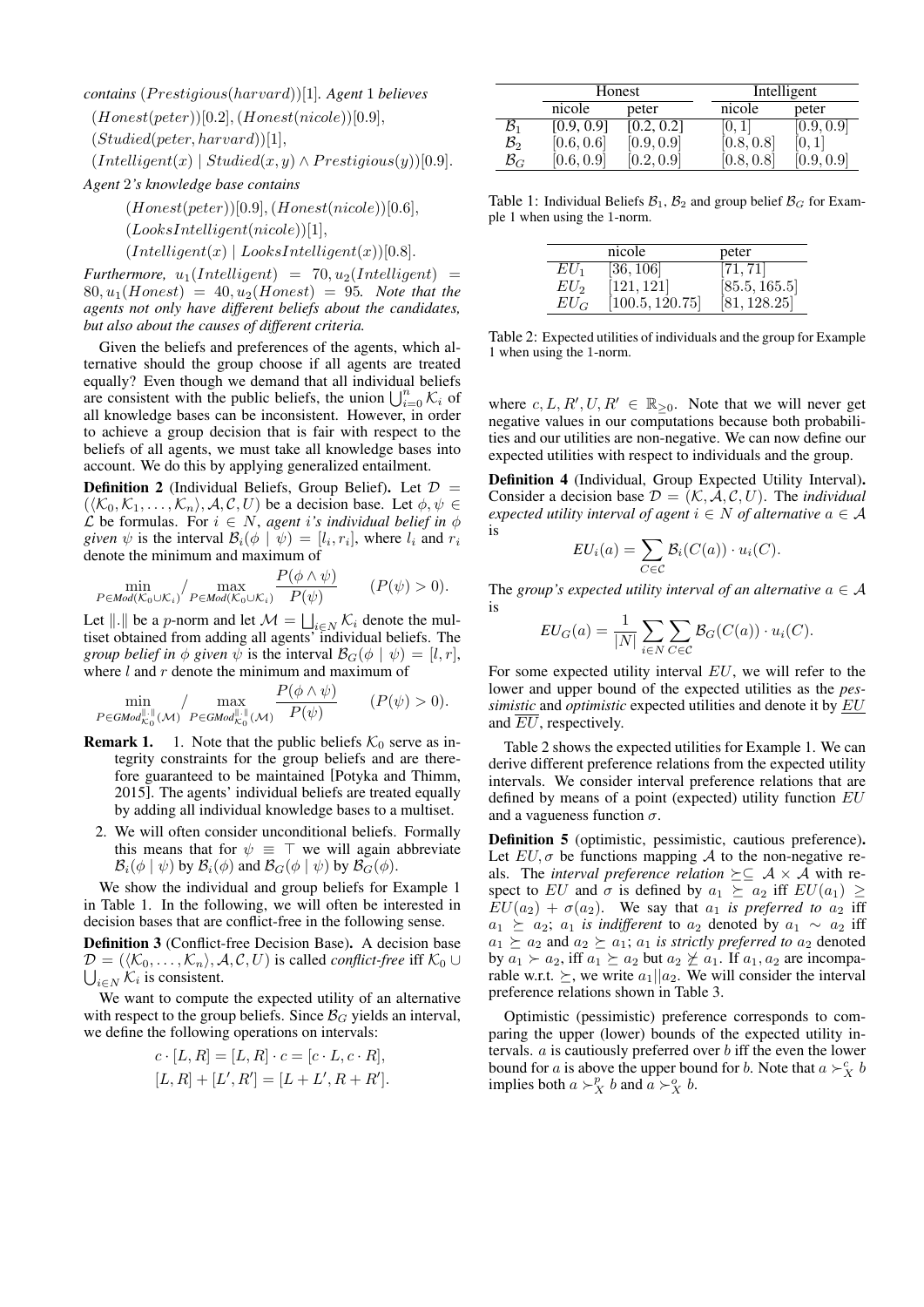*contains* (P restigious(harvard))[1]*. Agent* 1 *believes*

 $(Honest(peter))[0.2], (Honest(nicole))[0.9],$ 

 $(Studied(peter, harvard))[1],$ 

 $(Intelligent(x) | Student(x, y) \wedge President(y))[0.9].$ 

*Agent* 2*'s knowledge base contains*

 $(Honest(peter))[0.9], (Honest(nicole))[0.6],$ 

 $(LooksIntelligent(nicole))[1],$ 

 $(Intelligent(x) | LooksIntelligent(x))[0.8].$ 

*Furthermore,*  $u_1(Intelligent) = 70, u_2(Intelligent) =$  $80, u_1(Honest) = 40, u_2(Honest) = 95$ . Note that the *agents not only have different beliefs about the candidates, but also about the causes of different criteria.*

Given the beliefs and preferences of the agents, which alternative should the group choose if all agents are treated equally? Even though we demand that all individual beliefs are consistent with the public beliefs, the union  $\bigcup_{i=0}^n K_i$  of all knowledge bases can be inconsistent. However, in order to achieve a group decision that is fair with respect to the beliefs of all agents, we must take all knowledge bases into account. We do this by applying generalized entailment.

**Definition 2** (Individual Beliefs, Group Belief). Let  $\mathcal{D}$  =  $(\langle K_0, K_1, \ldots, K_n \rangle, A, C, U)$  be a decision base. Let  $\phi, \psi \in$ L be formulas. For  $i \in N$ , *agent* i's *individual belief in*  $\phi$ *given*  $\psi$  is the interval  $\mathcal{B}_i(\phi \mid \psi) = [l_i, r_i]$ , where  $l_i$  and  $r_i$ denote the minimum and maximum of

$$
\min_{P \in \text{Mod}(\mathcal{K}_0 \cup \mathcal{K}_i)} / \max_{P \in \text{Mod}(\mathcal{K}_0 \cup \mathcal{K}_i)} \frac{P(\phi \land \psi)}{P(\psi)} \qquad (P(\psi) > 0).
$$

Let  $\Vert . \Vert$  be a p-norm and let  $\mathcal{M} = \bigsqcup_{i \in N} \mathcal{K}_i$  denote the multiset obtained from adding all agents' individual beliefs. The *group belief in*  $\phi$  *given*  $\psi$  is the interval  $\mathcal{B}_G(\phi | \psi) = [l, r]$ , where  $l$  and  $r$  denote the minimum and maximum of

$$
\min_{P \in \text{GMod}_{\kappa_0}^{\|\cdot\|}(\mathcal{M})} / \max_{P \in \text{GMod}_{\kappa_0}^{\|\cdot\|}(\mathcal{M})} \frac{P(\phi \wedge \psi)}{P(\psi)} \qquad (P(\psi) > 0).
$$

- **Remark 1.** 1. Note that the public beliefs  $K_0$  serve as integrity constraints for the group beliefs and are therefore guaranteed to be maintained [Potyka and Thimm, 2015]. The agents' individual beliefs are treated equally by adding all individual knowledge bases to a multiset.
	- 2. We will often consider unconditional beliefs. Formally this means that for  $\psi \equiv \top$  we will again abbreviate  $\mathcal{B}_i(\phi \mid \psi)$  by  $\mathcal{B}_i(\phi)$  and  $\mathcal{B}_G(\phi \mid \psi)$  by  $\mathcal{B}_G(\phi)$ .

We show the individual and group beliefs for Example 1 in Table 1. In the following, we will often be interested in decision bases that are conflict-free in the following sense.

Definition 3 (Conflict-free Decision Base). A decision base  $\bigcup_{i \in N} \mathcal{K}_i$  is consistent.  $\mathcal{D} = (\langle \mathcal{K}_0, \ldots, \mathcal{K}_n \rangle, \mathcal{A}, \mathcal{C}, U)$  is called *conflict-free* iff  $\mathcal{K}_0 \cup$ 

We want to compute the expected utility of an alternative with respect to the group beliefs. Since  $\mathcal{B}_G$  yields an interval, we define the following operations on intervals:

$$
c \cdot [L, R] = [L, R] \cdot c = [c \cdot L, c \cdot R],
$$
  

$$
[L, R] + [L', R'] = [L + L', R + R'].
$$

|                 | Honest     |            |                   | Intelligent |  |
|-----------------|------------|------------|-------------------|-------------|--|
|                 | nicole     | peter      | nicole            | peter       |  |
| $\mathcal{B}_1$ | [0.9, 0.9] | [0.2, 0.2] | $\vert 0,1 \vert$ | [0.9, 0.9]  |  |
| $\mathcal{B}_2$ | [0.6, 0.6] | [0.9, 0.9] | [0.8, 0.8]        | [0,1]       |  |
| $\mathcal{B}_G$ | [0.6, 0.9] | [0.2, 0.9] | [0.8, 0.8]        | [0.9, 0.9]  |  |

Table 1: Individual Beliefs  $\mathcal{B}_1$ ,  $\mathcal{B}_2$  and group belief  $\mathcal{B}_G$  for Example 1 when using the 1-norm.

| nicole          |                 | peter         |
|-----------------|-----------------|---------------|
| $EU_1$          | [36, 106]       | [71, 71]      |
| EU <sub>2</sub> | [121, 121]      | [85.5, 165.5] |
| $EU_G$          | [100.5, 120.75] | [81, 128.25]  |

Table 2: Expected utilities of individuals and the group for Example 1 when using the 1-norm.

where  $c, L, R', U, R' \in \mathbb{R}_{\geq 0}$ . Note that we will never get negative values in our computations because both probabilities and our utilities are non-negative. We can now define our expected utilities with respect to individuals and the group.

Definition 4 (Individual, Group Expected Utility Interval). Consider a decision base  $\mathcal{D} = (\mathcal{K}, \mathcal{A}, \mathcal{C}, U)$ . The *individual expected utility interval of agent*  $i \in N$  *of alternative*  $a \in A$ is

$$
EU_i(a) = \sum_{C \in \mathcal{C}} \mathcal{B}_i(C(a)) \cdot u_i(C).
$$

The *group's expected utility interval of an alternative*  $a \in \mathcal{A}$ is

$$
EU_G(a) = \frac{1}{|N|} \sum_{i \in N} \sum_{C \in \mathcal{C}} \mathcal{B}_G(C(a)) \cdot u_i(C).
$$

For some expected utility interval  $EU$ , we will refer to the lower and upper bound of the expected utilities as the *pessimistic* and *optimistic* expected utilities and denote it by EU and  $\overline{EU}$ , respectively.

Table 2 shows the expected utilities for Example 1. We can derive different preference relations from the expected utility intervals. We consider interval preference relations that are defined by means of a point (expected) utility function EU and a vagueness function  $\sigma$ .

Definition 5 (optimistic, pessimistic, cautious preference). Let  $EU, \sigma$  be functions mapping A to the non-negative reals. The *interval preference relation*  $\succeq \subseteq A \times A$  with respect to EU and  $\sigma$  is defined by  $a_1 \succeq a_2$  iff  $EU(a_1) \geq$  $EU(a_2) + \sigma(a_2)$ . We say that  $a_1$  *is preferred to*  $a_2$  iff  $a_1 \succeq a_2$ ;  $a_1$  *is indifferent* to  $a_2$  denoted by  $a_1 \sim a_2$  iff  $a_1 \succeq a_2$  and  $a_2 \succeq a_1$ ;  $a_1$  *is strictly preferred to*  $a_2$  denoted by  $a_1 \succ a_2$ , iff  $a_1 \succeq a_2$  but  $a_2 \not\succeq a_1$ . If  $a_1, a_2$  are incomparable w.r.t.  $\succeq$ , we write  $a_1||a_2$ . We will consider the interval preference relations shown in Table 3.

Optimistic (pessimistic) preference corresponds to comparing the upper (lower) bounds of the expected utility intervals.  $a$  is cautiously preferred over  $b$  iff the even the lower bound for a is above the upper bound for b. Note that  $a \succ_X^c b$ implies both  $a \succ_X^p b$  and  $a \succ_X^o b$ .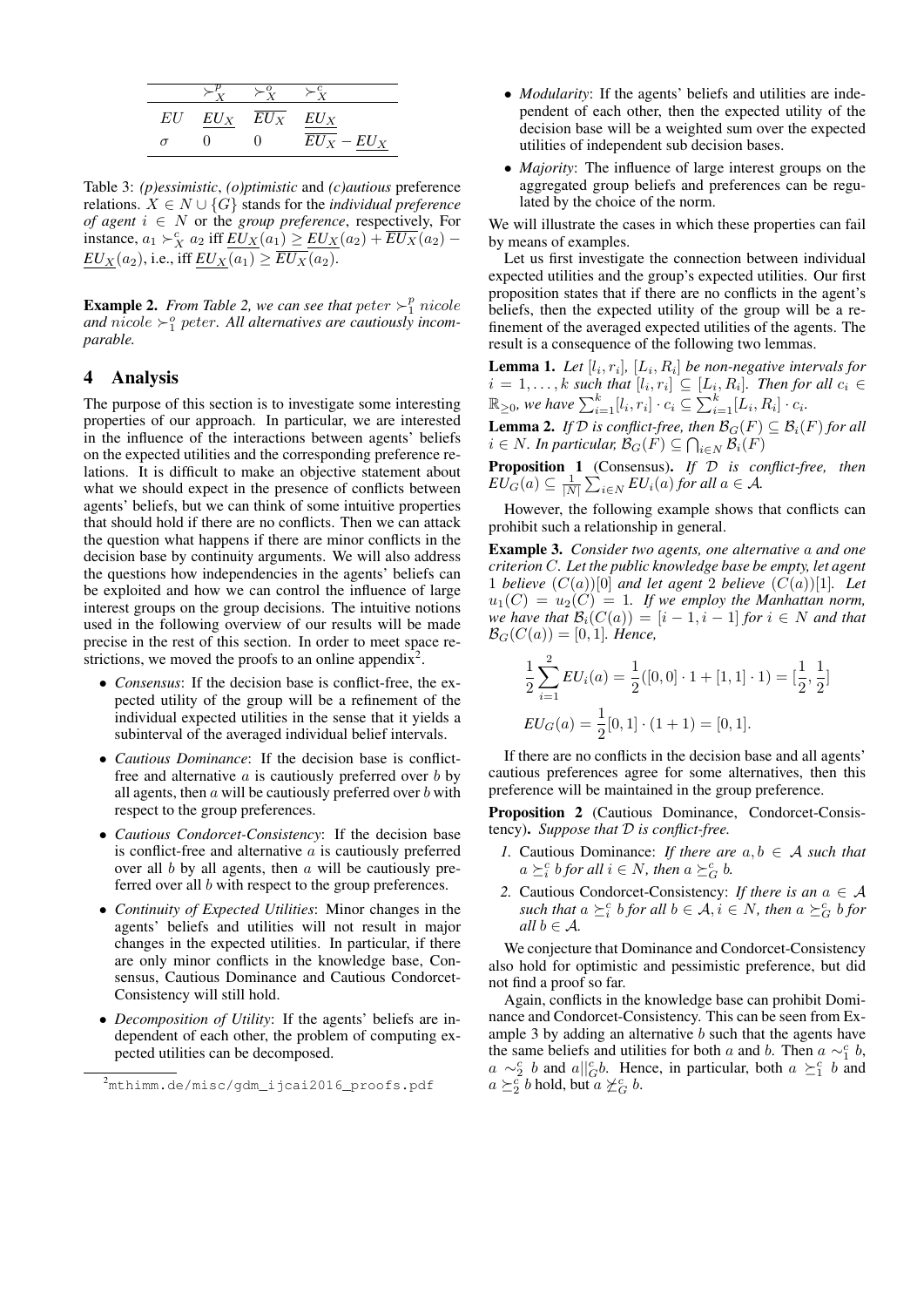| EU | $EU_X$ $EU_X$ $EU_X$ |               |
|----|----------------------|---------------|
|    |                      | $EU_X - EU_X$ |

Table 3: *(p)essimistic*, *(o)ptimistic* and *(c)autious* preference relations. X ∈ N ∪ {G} stands for the *individual preference of agent*  $i \in N$  or the *group preference*, respectively, For instance,  $a_1 \succ_X^c a_2$  iff  $\underline{EU_X}(a_1) \ge \underline{EU_X}(a_2) + \overline{EU_X}(a_2) EU_X(a_2)$ , i.e., iff  $EU_X(a_1) \geq EU_X(a_2)$ .

**Example 2.** From Table 2, we can see that  $peter \succ_1^p$  nicole and  $nicole > 0$  peter. All alternatives are cautiously incom*parable.*

### 4 Analysis

The purpose of this section is to investigate some interesting properties of our approach. In particular, we are interested in the influence of the interactions between agents' beliefs on the expected utilities and the corresponding preference relations. It is difficult to make an objective statement about what we should expect in the presence of conflicts between agents' beliefs, but we can think of some intuitive properties that should hold if there are no conflicts. Then we can attack the question what happens if there are minor conflicts in the decision base by continuity arguments. We will also address the questions how independencies in the agents' beliefs can be exploited and how we can control the influence of large interest groups on the group decisions. The intuitive notions used in the following overview of our results will be made precise in the rest of this section. In order to meet space restrictions, we moved the proofs to an online appendix<sup>2</sup>.

- *Consensus*: If the decision base is conflict-free, the expected utility of the group will be a refinement of the individual expected utilities in the sense that it yields a subinterval of the averaged individual belief intervals.
- *Cautious Dominance*: If the decision base is conflictfree and alternative  $a$  is cautiously preferred over  $b$  by all agents, then  $a$  will be cautiously preferred over  $b$  with respect to the group preferences.
- *Cautious Condorcet-Consistency*: If the decision base is conflict-free and alternative  $a$  is cautiously preferred over all  $b$  by all agents, then  $a$  will be cautiously preferred over all b with respect to the group preferences.
- *Continuity of Expected Utilities*: Minor changes in the agents' beliefs and utilities will not result in major changes in the expected utilities. In particular, if there are only minor conflicts in the knowledge base, Consensus, Cautious Dominance and Cautious Condorcet-Consistency will still hold.
- *Decomposition of Utility*: If the agents' beliefs are independent of each other, the problem of computing expected utilities can be decomposed.
- *Modularity*: If the agents' beliefs and utilities are independent of each other, then the expected utility of the decision base will be a weighted sum over the expected utilities of independent sub decision bases.
- *Majority*: The influence of large interest groups on the aggregated group beliefs and preferences can be regulated by the choice of the norm.

We will illustrate the cases in which these properties can fail by means of examples.

Let us first investigate the connection between individual expected utilities and the group's expected utilities. Our first proposition states that if there are no conflicts in the agent's beliefs, then the expected utility of the group will be a refinement of the averaged expected utilities of the agents. The result is a consequence of the following two lemmas.

**Lemma 1.** Let  $[l_i, r_i]$ ,  $[L_i, R_i]$  be non-negative intervals for  $i = 1, \ldots, k$  such that  $[l_i, r_i] \subseteq [L_i, R_i]$ . Then for all  $c_i \in$  $\mathbb{R}_{\geq 0}$ , we have  $\sum_{i=1}^k [l_i, r_i] \cdot c_i \subseteq \sum_{i=1}^k [L_i, R_i] \cdot c_i$ .

**Lemma 2.** *If*  $D$  *is conflict-free, then*  $\mathcal{B}_G(F) \subseteq \mathcal{B}_i(F)$  *for all*  $i \in N$ . In particular,  $\mathcal{B}_G(F) \subseteq \bigcap_{i \in N} \mathcal{B}_i(F)$ 

Proposition 1 (Consensus). *If* D *is conflict-free, then*  $EU_G^-(a) \subseteq \frac{1}{|N|} \sum_{i \in N} EU_i(a)$  *for all*  $a \in \mathcal{A}$ *.* 

However, the following example shows that conflicts can prohibit such a relationship in general.

Example 3. *Consider two agents, one alternative* a *and one criterion* C*. Let the public knowledge base be empty, let agent* 1 *believe*  $(C(a))[0]$  *and let agent* 2 *believe*  $(C(a))[1]$ *. Let*  $u_1(C) = u_2(C) = 1$ . If we employ the Manhattan norm, *we have that*  $\mathcal{B}_i(C(a)) = [i-1, i-1]$  *for*  $i \in N$  *and that*  $\mathcal{B}_{G}(C(a)) = [0, 1]$ *. Hence,* 

$$
\frac{1}{2} \sum_{i=1}^{2} EU_i(a) = \frac{1}{2} ([0, 0] \cdot 1 + [1, 1] \cdot 1) = [\frac{1}{2}, \frac{1}{2}]
$$
  

$$
EU_G(a) = \frac{1}{2} [0, 1] \cdot (1 + 1) = [0, 1].
$$

If there are no conflicts in the decision base and all agents' cautious preferences agree for some alternatives, then this preference will be maintained in the group preference.

Proposition 2 (Cautious Dominance, Condorcet-Consistency). *Suppose that* D *is conflict-free.*

- *1.* Cautious Dominance: *If there are*  $a, b \in A$  *such that*  $a \succeq_i^c b$  for all  $i \in N$ , then  $a \succeq_G^c b$ .
- 2. Cautious Condorcet-Consistency: *If there is an*  $a \in \mathcal{A}$ such that  $a \succeq_i^c b$  *for all*  $b \in A$ ,  $i \in N$ , then  $a \succeq_G^c b$  *for all*  $b \in \mathcal{A}$ *.*

We conjecture that Dominance and Condorcet-Consistency also hold for optimistic and pessimistic preference, but did not find a proof so far.

Again, conflicts in the knowledge base can prohibit Dominance and Condorcet-Consistency. This can be seen from Example 3 by adding an alternative b such that the agents have the same beliefs and utilities for both a and b. Then  $a \sim_1^c b$ ,  $a \sim_2^c b$  and  $a||_G^c b$ . Hence, in particular, both  $a \geq_1^c b$  and  $a \succeq_2^c b$  hold, but  $a \not\succeq_G^c b$ .

<sup>&</sup>lt;sup>2</sup>mthimm.de/misc/gdm\_ijcai2016\_proofs.pdf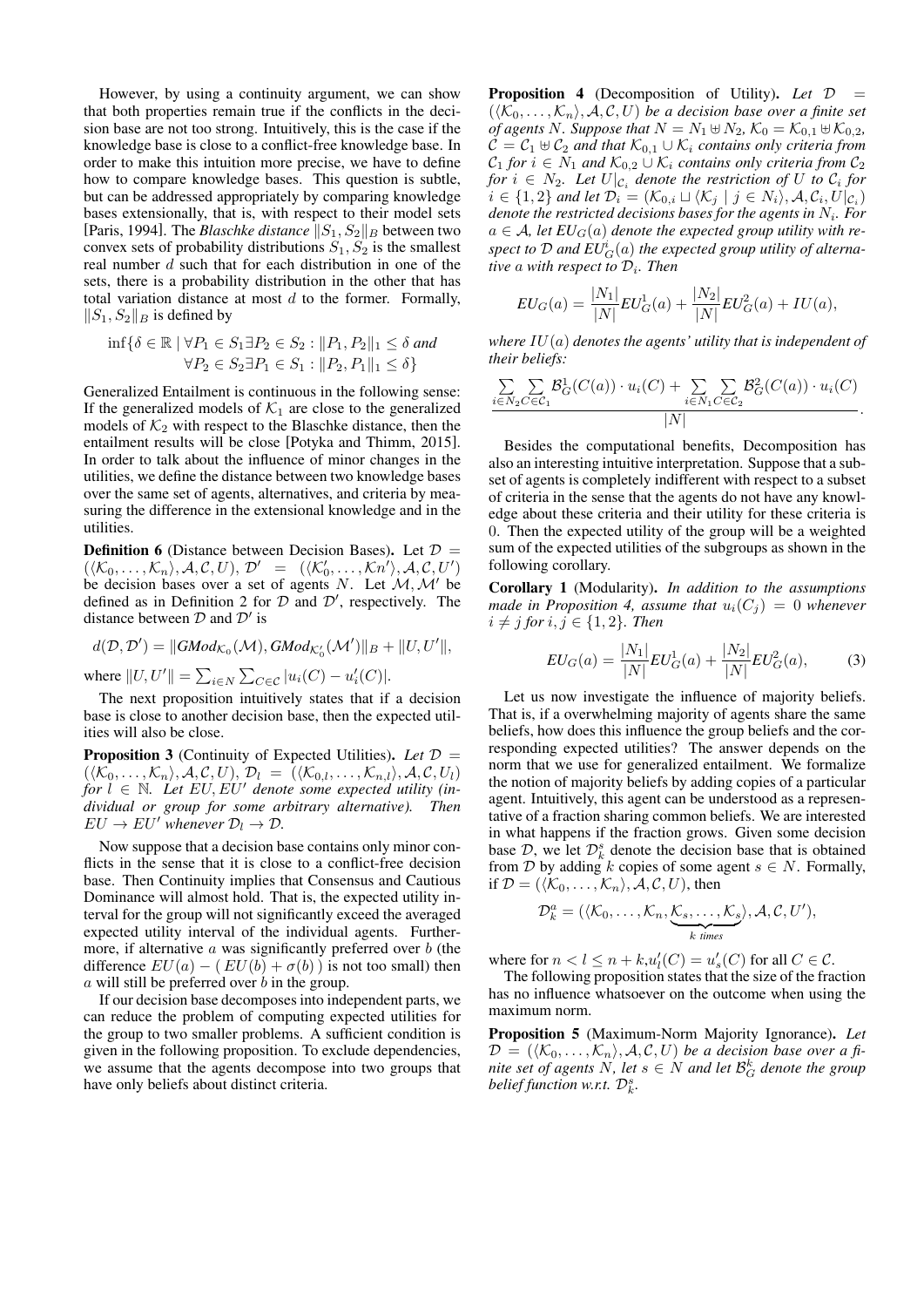However, by using a continuity argument, we can show that both properties remain true if the conflicts in the decision base are not too strong. Intuitively, this is the case if the knowledge base is close to a conflict-free knowledge base. In order to make this intuition more precise, we have to define how to compare knowledge bases. This question is subtle, but can be addressed appropriately by comparing knowledge bases extensionally, that is, with respect to their model sets [Paris, 1994]. The *Blaschke distance*  $||S_1, S_2||_B$  between two convex sets of probability distributions  $S_1, S_2$  is the smallest real number d such that for each distribution in one of the sets, there is a probability distribution in the other that has total variation distance at most  $d$  to the former. Formally,  $||S_1, S_2||_B$  is defined by

$$
\inf \{ \delta \in \mathbb{R} \mid \forall P_1 \in S_1 \exists P_2 \in S_2 : ||P_1, P_2||_1 \le \delta \text{ and } \newline \forall P_2 \in S_2 \exists P_1 \in S_1 : ||P_2, P_1||_1 \le \delta \}
$$

Generalized Entailment is continuous in the following sense: If the generalized models of  $K_1$  are close to the generalized models of  $K_2$  with respect to the Blaschke distance, then the entailment results will be close [Potyka and Thimm, 2015]. In order to talk about the influence of minor changes in the utilities, we define the distance between two knowledge bases over the same set of agents, alternatives, and criteria by measuring the difference in the extensional knowledge and in the utilities.

**Definition 6** (Distance between Decision Bases). Let  $D =$  $(\langle K_0,\ldots,K_n\rangle,\mathcal{A},\mathcal{C},U),\mathcal{D}' = (\langle \mathcal{K}_0',\ldots,\mathcal{K}n'\rangle,\mathcal{A},\mathcal{C},U')$ be decision bases over a set of agents N. Let  $M, M'$  be defined as in Definition 2 for  $D$  and  $D'$ , respectively. The distance between  $D$  and  $D'$  is

$$
d(\mathcal{D}, \mathcal{D}') = \lVert G\mathit{Mod}_{\mathcal{K}_0}(\mathcal{M}), G\mathit{Mod}_{\mathcal{K}'_0}(\mathcal{M}') \rVert_B + \lVert U, U' \rVert,
$$

where  $||U, U'|| = \sum_{i \in N} \sum_{C \in \mathcal{C}} |u_i(C) - u'_i(C)|$ .

The next proposition intuitively states that if a decision base is close to another decision base, then the expected utilities will also be close.

Proposition 3 (Continuity of Expected Utilities). *Let* D =  $(\langle\mathcal{K}_0,\ldots,\mathcal{K}_n\rangle,\mathcal{A},\mathcal{C},U),\mathcal{D}_l = (\langle\mathcal{K}_{0,l},\ldots,\mathcal{K}_{n,l}\rangle,\mathcal{A},\mathcal{C},U_l)$  $for l \in \mathbb{N}$ . Let  $EU, EU'$  denote some expected utility (in*dividual or group for some arbitrary alternative). Then*  $EU \to EU'$  whenever  $\mathcal{D}_l \to \mathcal{D}$ .

Now suppose that a decision base contains only minor conflicts in the sense that it is close to a conflict-free decision base. Then Continuity implies that Consensus and Cautious Dominance will almost hold. That is, the expected utility interval for the group will not significantly exceed the averaged expected utility interval of the individual agents. Furthermore, if alternative  $\alpha$  was significantly preferred over  $\delta$  (the difference  $EU(a) - (EU(b) + \sigma(b))$  is not too small) then a will still be preferred over b in the group.

If our decision base decomposes into independent parts, we can reduce the problem of computing expected utilities for the group to two smaller problems. A sufficient condition is given in the following proposition. To exclude dependencies, we assume that the agents decompose into two groups that have only beliefs about distinct criteria.

Proposition 4 (Decomposition of Utility). *Let* D =  $(\langle K_0, \ldots, K_n \rangle, \mathcal{A}, \mathcal{C}, U)$  *be a decision base over a finite set of agents N.* Suppose that  $N = N_1 \oplus N_2$ ,  $K_0 = K_{0,1} \oplus K_{0,2}$ ,  $\mathcal{C} = \mathcal{C}_1 \oplus \mathcal{C}_2$  and that  $\mathcal{K}_{0,1} \cup \mathcal{K}_i$  contains only criteria from  $C_1$  for  $i \in N_1$  and  $\mathcal{K}_{0,2} \cup \mathcal{K}_i$  contains only criteria from  $\mathcal{C}_2$ *for*  $i \in N_2$ . Let  $U|_{\mathcal{C}_i}$  denote the restriction of U to  $\mathcal{C}_i$  for  $i \in \{1,2\}$  and let  $\mathcal{D}_i = (\mathcal{K}_{0,i} \sqcup \langle \mathcal{K}_j \mid j \in N_i \rangle, \mathcal{A}, \mathcal{C}_i, U|_{\mathcal{C}_i})$ *denote the restricted decisions bases for the agents in* N<sup>i</sup> *. For*  $a \in \mathcal{A}$ , let  $EU_G(a)$  denote the expected group utility with respect to  $\mathcal D$  and  $EU_G^i(a)$  the expected group utility of alterna*tive* a *with respect to* D<sup>i</sup> *. Then*

$$
EU_G(a) = \frac{|N_1|}{|N|} EU_G^1(a) + \frac{|N_2|}{|N|} EU_G^2(a) + IU(a),
$$

*where* IU(a) *denotes the agents' utility that is independent of their beliefs:*

$$
\frac{\sum\limits_{i\in N_2}\sum\limits_{C\in\mathcal{C}_1}\mathcal{B}_G^1(C(a))\cdot u_i(C)+\sum\limits_{i\in N_1}\sum\limits_{C\in\mathcal{C}_2}\mathcal{B}_G^2(C(a))\cdot u_i(C)}{|N|}.
$$

Besides the computational benefits, Decomposition has also an interesting intuitive interpretation. Suppose that a subset of agents is completely indifferent with respect to a subset of criteria in the sense that the agents do not have any knowledge about these criteria and their utility for these criteria is 0. Then the expected utility of the group will be a weighted sum of the expected utilities of the subgroups as shown in the following corollary.

Corollary 1 (Modularity). *In addition to the assumptions made in Proposition 4, assume that*  $u_i(C_i) = 0$  *whenever*  $i \neq j$  *for*  $i, j \in \{1, 2\}$ *. Then* 

$$
EU_G(a) = \frac{|N_1|}{|N|} EU_G^1(a) + \frac{|N_2|}{|N|} EU_G^2(a),\tag{3}
$$

Let us now investigate the influence of majority beliefs. That is, if a overwhelming majority of agents share the same beliefs, how does this influence the group beliefs and the corresponding expected utilities? The answer depends on the norm that we use for generalized entailment. We formalize the notion of majority beliefs by adding copies of a particular agent. Intuitively, this agent can be understood as a representative of a fraction sharing common beliefs. We are interested in what happens if the fraction grows. Given some decision base  $D$ , we let  $D_k^s$  denote the decision base that is obtained from D by adding k copies of some agent  $s \in N$ . Formally, if  $\mathcal{D} = (\langle \mathcal{K}_0, \ldots, \mathcal{K}_n \rangle, \mathcal{A}, \mathcal{C}, U)$ , then

$$
\mathcal{D}_k^a = (\langle \mathcal{K}_0, \ldots, \mathcal{K}_n, \underbrace{\mathcal{K}_s, \ldots, \mathcal{K}_s}_{k \text{ times}} \rangle, \mathcal{A}, \mathcal{C}, U'),
$$

where for  $n < l \leq n + k, u'_{l}(C) = u'_{s}(C)$  for all  $C \in \mathcal{C}$ .

The following proposition states that the size of the fraction has no influence whatsoever on the outcome when using the maximum norm.

Proposition 5 (Maximum-Norm Majority Ignorance). *Let*  $\mathcal{D} = (\langle \mathcal{K}_0, \ldots, \mathcal{K}_n \rangle, \mathcal{A}, \mathcal{C}, U)$  *be a decision base over a finite set of agents*  $N$ , let  $s \in N$  and let  $\mathcal{B}_G^k$  denote the group belief function w.r.t.  $\mathcal{D}_k^s$ .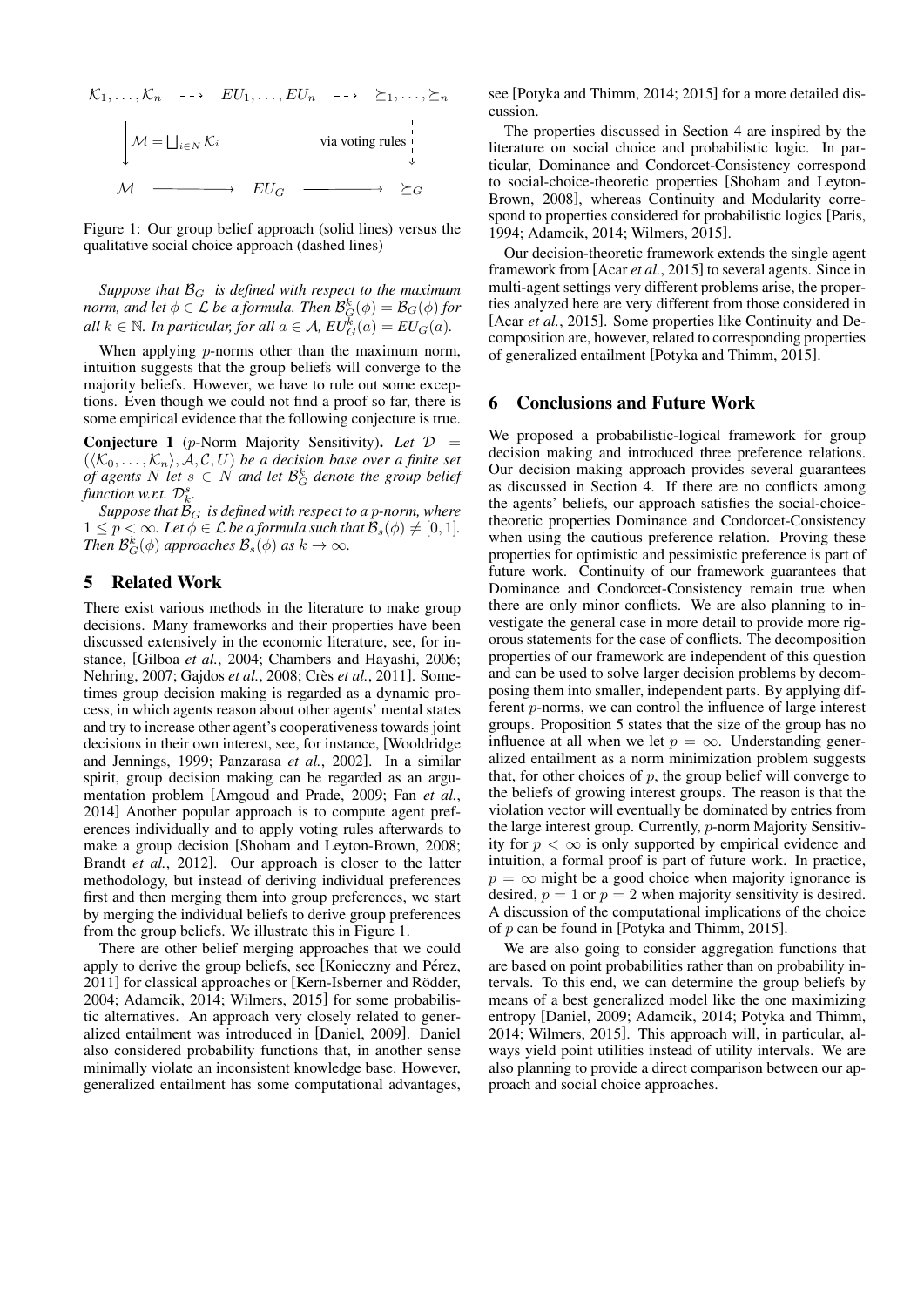

Figure 1: Our group belief approach (solid lines) versus the qualitative social choice approach (dashed lines)

*Suppose that* B<sup>G</sup> *is defined with respect to the maximum* norm, and let  $\phi \in \mathcal{L}$  be a formula. Then  $\mathcal{B}_G^{k}(\phi) = \mathcal{B}_G(\phi)$  for *all*  $k \in \mathbb{N}$ *. In particular, for all*  $a \in \mathcal{A}$ *,*  $EU_G^{\overline{k}}(a) = EU_G(a)$ *.* 

When applying *p*-norms other than the maximum norm, intuition suggests that the group beliefs will converge to the majority beliefs. However, we have to rule out some exceptions. Even though we could not find a proof so far, there is some empirical evidence that the following conjecture is true.

Conjecture 1 (p-Norm Majority Sensitivity). *Let* D =  $(\langle K_0, \ldots, K_n \rangle, \mathcal{A}, \mathcal{C}, U)$  *be a decision base over a finite set of agents*  $N$  *let*  $s \in N$  *and let*  $\mathcal{B}_G^k$  *denote the group belief*  $\hat{p}$  *function w.r.t.*  $\mathcal{D}_k^s$ *.* 

*Suppose that*  $\mathcal{B}_G$  *is defined with respect to a p-norm, where*  $1 \leq p < \infty$ *. Let*  $\phi \in \mathcal{L}$  *be a formula such that*  $\mathcal{B}_s(\phi) \neq [0, 1]$ *. Then*  $\mathcal{B}_G^k(\phi)$  *approaches*  $\mathcal{B}_s(\phi)$  *as*  $k \to \infty$ *.* 

## 5 Related Work

There exist various methods in the literature to make group decisions. Many frameworks and their properties have been discussed extensively in the economic literature, see, for instance, [Gilboa *et al.*, 2004; Chambers and Hayashi, 2006; Nehring, 2007; Gajdos *et al.*, 2008; Crès *et al.*, 2011]. Sometimes group decision making is regarded as a dynamic process, in which agents reason about other agents' mental states and try to increase other agent's cooperativeness towards joint decisions in their own interest, see, for instance, [Wooldridge and Jennings, 1999; Panzarasa *et al.*, 2002]. In a similar spirit, group decision making can be regarded as an argumentation problem [Amgoud and Prade, 2009; Fan *et al.*, 2014] Another popular approach is to compute agent preferences individually and to apply voting rules afterwards to make a group decision [Shoham and Leyton-Brown, 2008; Brandt *et al.*, 2012]. Our approach is closer to the latter methodology, but instead of deriving individual preferences first and then merging them into group preferences, we start by merging the individual beliefs to derive group preferences from the group beliefs. We illustrate this in Figure 1.

There are other belief merging approaches that we could apply to derive the group beliefs, see [Konieczny and Pérez, 2011] for classical approaches or [Kern-Isberner and Rödder, 2004; Adamcik, 2014; Wilmers, 2015] for some probabilistic alternatives. An approach very closely related to generalized entailment was introduced in [Daniel, 2009]. Daniel also considered probability functions that, in another sense minimally violate an inconsistent knowledge base. However, generalized entailment has some computational advantages, see [Potyka and Thimm, 2014; 2015] for a more detailed discussion.

The properties discussed in Section 4 are inspired by the literature on social choice and probabilistic logic. In particular, Dominance and Condorcet-Consistency correspond to social-choice-theoretic properties [Shoham and Leyton-Brown, 2008], whereas Continuity and Modularity correspond to properties considered for probabilistic logics [Paris, 1994; Adamcik, 2014; Wilmers, 2015].

Our decision-theoretic framework extends the single agent framework from [Acar *et al.*, 2015] to several agents. Since in multi-agent settings very different problems arise, the properties analyzed here are very different from those considered in [Acar *et al.*, 2015]. Some properties like Continuity and Decomposition are, however, related to corresponding properties of generalized entailment [Potyka and Thimm, 2015].

#### 6 Conclusions and Future Work

We proposed a probabilistic-logical framework for group decision making and introduced three preference relations. Our decision making approach provides several guarantees as discussed in Section 4. If there are no conflicts among the agents' beliefs, our approach satisfies the social-choicetheoretic properties Dominance and Condorcet-Consistency when using the cautious preference relation. Proving these properties for optimistic and pessimistic preference is part of future work. Continuity of our framework guarantees that Dominance and Condorcet-Consistency remain true when there are only minor conflicts. We are also planning to investigate the general case in more detail to provide more rigorous statements for the case of conflicts. The decomposition properties of our framework are independent of this question and can be used to solve larger decision problems by decomposing them into smaller, independent parts. By applying different p-norms, we can control the influence of large interest groups. Proposition 5 states that the size of the group has no influence at all when we let  $p = \infty$ . Understanding generalized entailment as a norm minimization problem suggests that, for other choices of  $p$ , the group belief will converge to the beliefs of growing interest groups. The reason is that the violation vector will eventually be dominated by entries from the large interest group. Currently, p-norm Majority Sensitivity for  $p < \infty$  is only supported by empirical evidence and intuition, a formal proof is part of future work. In practice,  $p = \infty$  might be a good choice when majority ignorance is desired,  $p = 1$  or  $p = 2$  when majority sensitivity is desired. A discussion of the computational implications of the choice of p can be found in [Potyka and Thimm, 2015].

We are also going to consider aggregation functions that are based on point probabilities rather than on probability intervals. To this end, we can determine the group beliefs by means of a best generalized model like the one maximizing entropy [Daniel, 2009; Adamcik, 2014; Potyka and Thimm, 2014; Wilmers, 2015]. This approach will, in particular, always yield point utilities instead of utility intervals. We are also planning to provide a direct comparison between our approach and social choice approaches.